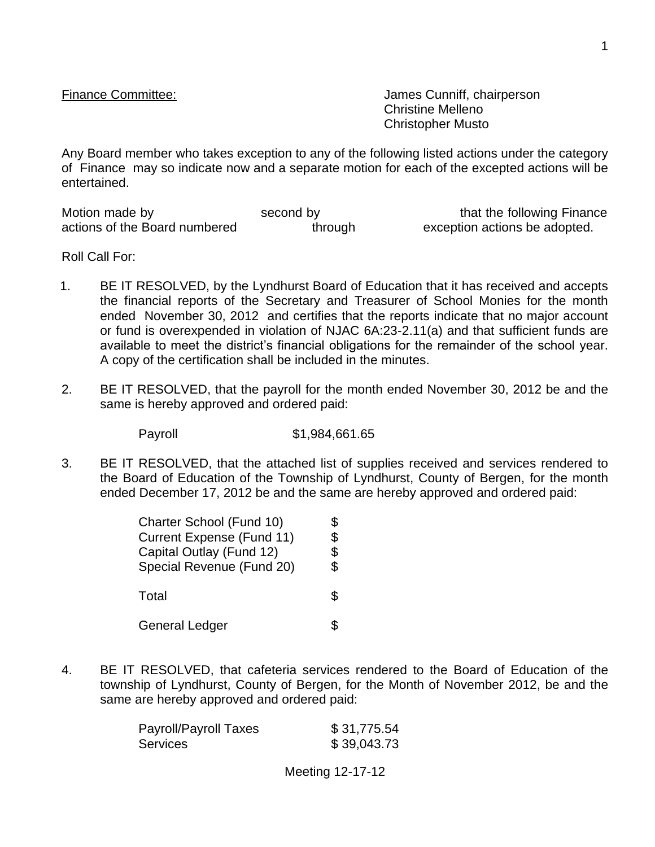Finance Committee:  $\blacksquare$ Christine Melleno Christopher Musto

Any Board member who takes exception to any of the following listed actions under the category of Finance may so indicate now and a separate motion for each of the excepted actions will be entertained.

| Motion made by                | second by | that the following Finance    |
|-------------------------------|-----------|-------------------------------|
| actions of the Board numbered | through   | exception actions be adopted. |

Roll Call For:

- 1. BE IT RESOLVED, by the Lyndhurst Board of Education that it has received and accepts the financial reports of the Secretary and Treasurer of School Monies for the month ended November 30, 2012 and certifies that the reports indicate that no major account or fund is overexpended in violation of NJAC 6A:23-2.11(a) and that sufficient funds are available to meet the district's financial obligations for the remainder of the school year. A copy of the certification shall be included in the minutes.
- 2. BE IT RESOLVED, that the payroll for the month ended November 30, 2012 be and the same is hereby approved and ordered paid:

Payroll \$1,984,661.65

3. BE IT RESOLVED, that the attached list of supplies received and services rendered to the Board of Education of the Township of Lyndhurst, County of Bergen, for the month ended December 17, 2012 be and the same are hereby approved and ordered paid:

| Charter School (Fund 10)<br><b>Current Expense (Fund 11)</b><br>Capital Outlay (Fund 12)<br>Special Revenue (Fund 20) | \$<br>\$<br>\$ |
|-----------------------------------------------------------------------------------------------------------------------|----------------|
| Total                                                                                                                 | S.             |
| <b>General Ledger</b>                                                                                                 |                |

4. BE IT RESOLVED, that cafeteria services rendered to the Board of Education of the township of Lyndhurst, County of Bergen, for the Month of November 2012, be and the same are hereby approved and ordered paid:

| <b>Payroll/Payroll Taxes</b> | \$31,775.54 |
|------------------------------|-------------|
| Services                     | \$39,043.73 |

Meeting 12-17-12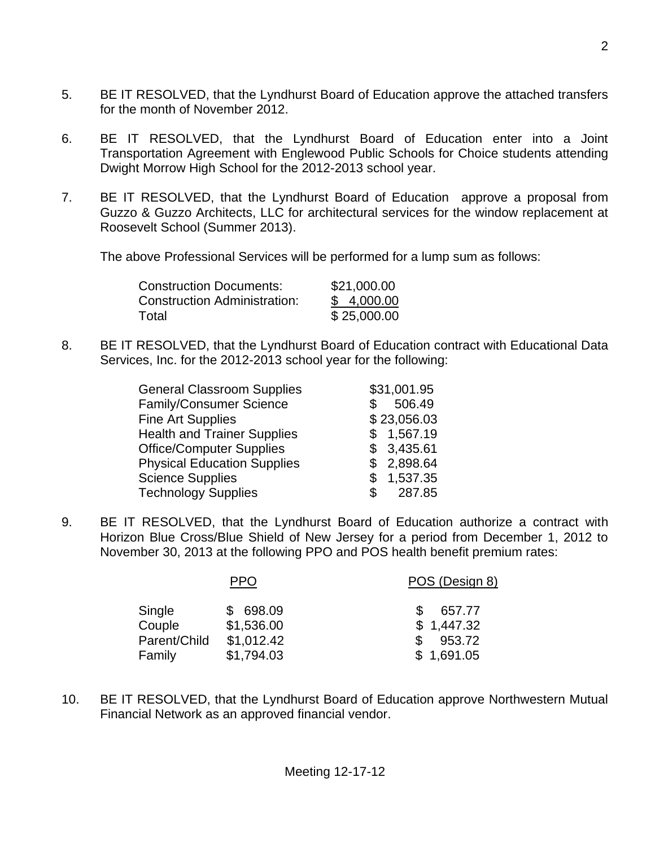- 5. BE IT RESOLVED, that the Lyndhurst Board of Education approve the attached transfers for the month of November 2012.
- 6. BE IT RESOLVED, that the Lyndhurst Board of Education enter into a Joint Transportation Agreement with Englewood Public Schools for Choice students attending Dwight Morrow High School for the 2012-2013 school year.
- 7. BE IT RESOLVED, that the Lyndhurst Board of Education approve a proposal from Guzzo & Guzzo Architects, LLC for architectural services for the window replacement at Roosevelt School (Summer 2013).

The above Professional Services will be performed for a lump sum as follows:

| \$21,000.00 |
|-------------|
| \$4,000.00  |
| \$25,000.00 |
|             |

8. BE IT RESOLVED, that the Lyndhurst Board of Education contract with Educational Data Services, Inc. for the 2012-2013 school year for the following:

| <b>General Classroom Supplies</b>  | \$31,001.95  |
|------------------------------------|--------------|
| <b>Family/Consumer Science</b>     | 506.49       |
| <b>Fine Art Supplies</b>           | \$23,056.03  |
| <b>Health and Trainer Supplies</b> | \$1,567.19   |
| <b>Office/Computer Supplies</b>    | \$3,435.61   |
| <b>Physical Education Supplies</b> | \$2,898.64   |
| <b>Science Supplies</b>            | \$1,537.35   |
| <b>Technology Supplies</b>         | 287.85<br>\$ |
|                                    |              |

9. BE IT RESOLVED, that the Lyndhurst Board of Education authorize a contract with Horizon Blue Cross/Blue Shield of New Jersey for a period from December 1, 2012 to November 30, 2013 at the following PPO and POS health benefit premium rates:

|              | PPO        | POS (Design 8) |
|--------------|------------|----------------|
| Single       | \$698.09   | 657.77         |
| Couple       | \$1,536.00 | \$1,447.32     |
| Parent/Child | \$1,012.42 | 953.72<br>S    |
| Family       | \$1,794.03 | \$1,691.05     |

10. BE IT RESOLVED, that the Lyndhurst Board of Education approve Northwestern Mutual Financial Network as an approved financial vendor.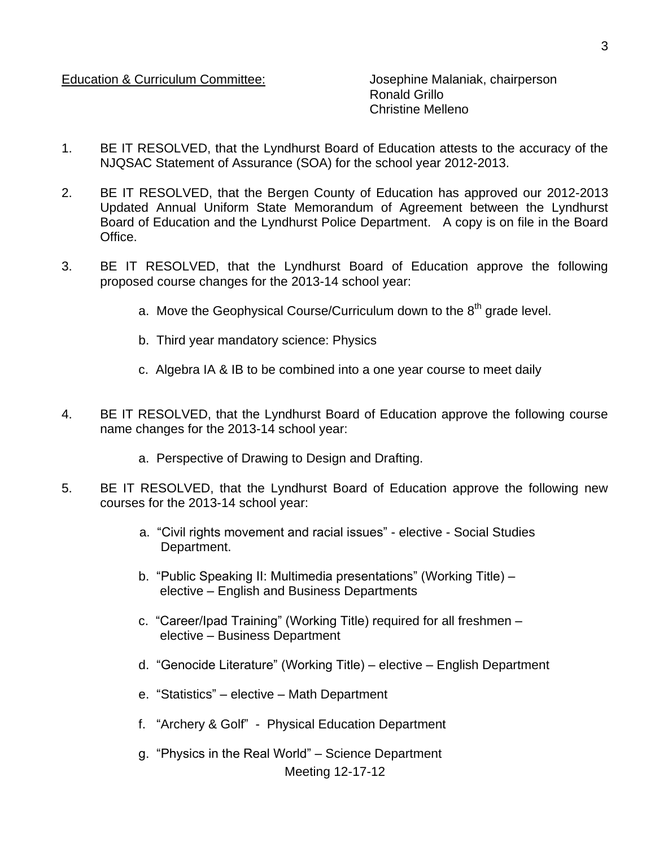Education & Curriculum Committee: Josephine Malaniak, chairperson

Ronald Grillo Christine Melleno

- 1. BE IT RESOLVED, that the Lyndhurst Board of Education attests to the accuracy of the NJQSAC Statement of Assurance (SOA) for the school year 2012-2013.
- 2. BE IT RESOLVED, that the Bergen County of Education has approved our 2012-2013 Updated Annual Uniform State Memorandum of Agreement between the Lyndhurst Board of Education and the Lyndhurst Police Department. A copy is on file in the Board Office.
- 3. BE IT RESOLVED, that the Lyndhurst Board of Education approve the following proposed course changes for the 2013-14 school year:
	- a. Move the Geophysical Course/Curriculum down to the  $8<sup>th</sup>$  grade level.
	- b. Third year mandatory science: Physics
	- c. Algebra IA & IB to be combined into a one year course to meet daily
- 4. BE IT RESOLVED, that the Lyndhurst Board of Education approve the following course name changes for the 2013-14 school year:
	- a. Perspective of Drawing to Design and Drafting.
- 5. BE IT RESOLVED, that the Lyndhurst Board of Education approve the following new courses for the 2013-14 school year:
	- a. "Civil rights movement and racial issues" elective Social Studies Department.
	- b. "Public Speaking II: Multimedia presentations" (Working Title) elective – English and Business Departments
	- c. "Career/Ipad Training" (Working Title) required for all freshmen elective – Business Department
	- d. "Genocide Literature" (Working Title) elective English Department
	- e. "Statistics" elective Math Department
	- f. "Archery & Golf" Physical Education Department
	- Meeting 12-17-12 g. "Physics in the Real World" – Science Department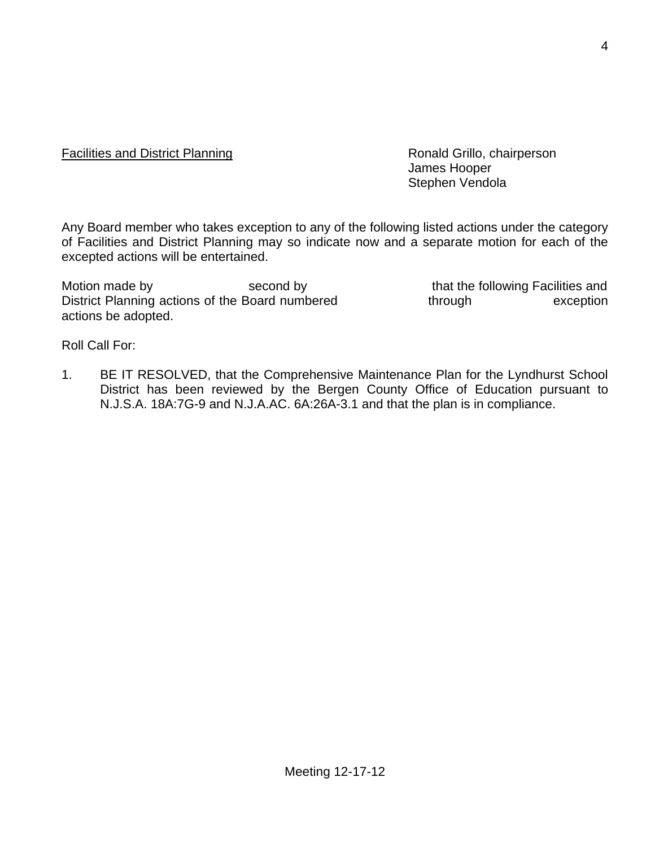## Facilities and District Planning **Example 20** Ronald Grillo, chairperson

James Hooper Stephen Vendola

Any Board member who takes exception to any of the following listed actions under the category of Facilities and District Planning may so indicate now and a separate motion for each of the excepted actions will be entertained.

Motion made by second by second by that the following Facilities and District Planning actions of the Board numbered through exception actions be adopted.

Roll Call For:

1. BE IT RESOLVED, that the Comprehensive Maintenance Plan for the Lyndhurst School District has been reviewed by the Bergen County Office of Education pursuant to N.J.S.A. 18A:7G-9 and N.J.A.AC. 6A:26A-3.1 and that the plan is in compliance.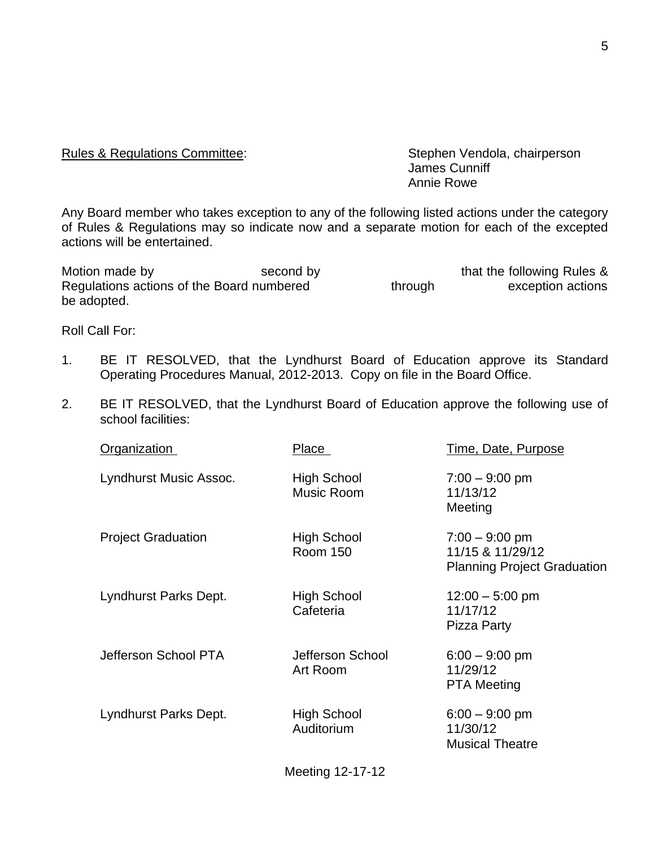## Rules & Regulations Committee: Stephen Vendola, chairperson

James Cunniff Annie Rowe

Any Board member who takes exception to any of the following listed actions under the category of Rules & Regulations may so indicate now and a separate motion for each of the excepted actions will be entertained.

Motion made by Second by Second by that the following Rules & Regulations actions of the Board numbered through exception actions be adopted.

Roll Call For:

- 1. BE IT RESOLVED, that the Lyndhurst Board of Education approve its Standard Operating Procedures Manual, 2012-2013. Copy on file in the Board Office.
- 2. BE IT RESOLVED, that the Lyndhurst Board of Education approve the following use of school facilities:

| <b>Organization</b>       | Place                                 | Time, Date, Purpose                                                        |
|---------------------------|---------------------------------------|----------------------------------------------------------------------------|
| Lyndhurst Music Assoc.    | High School<br>Music Room             | $7:00 - 9:00$ pm<br>11/13/12<br>Meeting                                    |
| <b>Project Graduation</b> | <b>High School</b><br><b>Room 150</b> | $7:00 - 9:00$ pm<br>11/15 & 11/29/12<br><b>Planning Project Graduation</b> |
| Lyndhurst Parks Dept.     | High School<br>Cafeteria              | $12:00 - 5:00$ pm<br>11/17/12<br>Pizza Party                               |
| Jefferson School PTA      | Jefferson School<br>Art Room          | $6:00 - 9:00$ pm<br>11/29/12<br><b>PTA Meeting</b>                         |
| Lyndhurst Parks Dept.     | High School<br>Auditorium             | $6:00 - 9:00$ pm<br>11/30/12<br><b>Musical Theatre</b>                     |

Meeting 12-17-12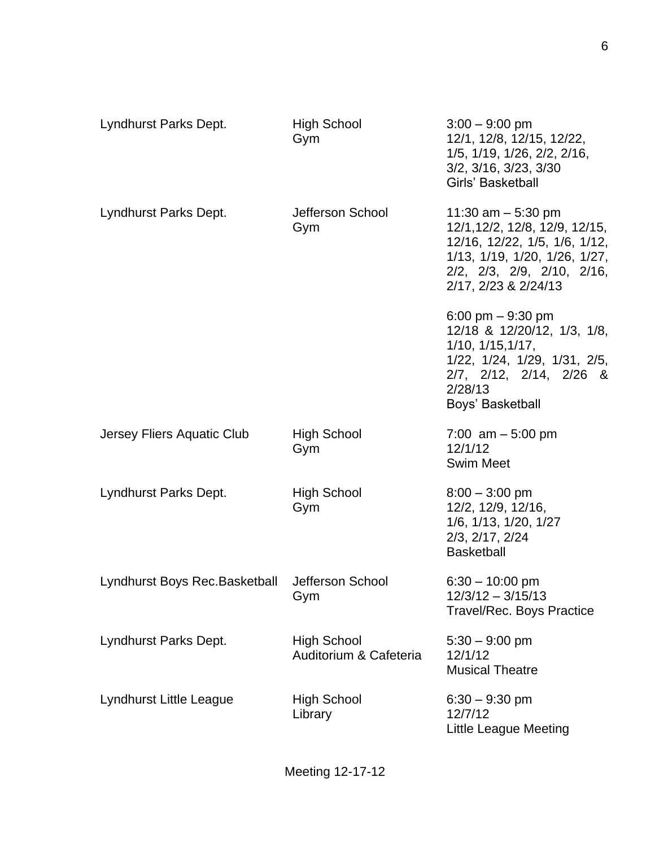| Lyndhurst Parks Dept.          | <b>High School</b><br>Gym                    | $3:00 - 9:00$ pm<br>12/1, 12/8, 12/15, 12/22,<br>1/5, 1/19, 1/26, 2/2, 2/16,<br>3/2, 3/16, 3/23, 3/30<br>Girls' Basketball                                                               |
|--------------------------------|----------------------------------------------|------------------------------------------------------------------------------------------------------------------------------------------------------------------------------------------|
| Lyndhurst Parks Dept.          | Jefferson School<br>Gym                      | 11:30 am $-$ 5:30 pm<br>12/1, 12/2, 12/8, 12/9, 12/15,<br>12/16, 12/22, 1/5, 1/6, 1/12,<br>1/13, 1/19, 1/20, 1/26, 1/27,<br>2/2, 2/3, 2/9, 2/10, 2/16,<br>2/17, 2/23 & 2/24/13           |
|                                |                                              | 6:00 pm $-9:30$ pm<br>12/18 & 12/20/12, 1/3, 1/8,<br>$1/10$ , $1/15$ , $1/17$ ,<br>$1/22$ , $1/24$ , $1/29$ , $1/31$ , $2/5$ ,<br>2/7, 2/12, 2/14, 2/26 &<br>2/28/13<br>Boys' Basketball |
| Jersey Fliers Aquatic Club     | <b>High School</b><br>Gym                    | 7:00 $am - 5:00 pm$<br>12/1/12<br><b>Swim Meet</b>                                                                                                                                       |
| Lyndhurst Parks Dept.          | High School<br>Gym                           | $8:00 - 3:00$ pm<br>12/2, 12/9, 12/16,<br>1/6, 1/13, 1/20, 1/27<br>2/3, 2/17, 2/24<br><b>Basketball</b>                                                                                  |
| Lyndhurst Boys Rec. Basketball | Jefferson School<br>Gym                      | $6:30 - 10:00$ pm<br>$12/3/12 - 3/15/13$<br><b>Travel/Rec. Boys Practice</b>                                                                                                             |
| Lyndhurst Parks Dept.          | <b>High School</b><br>Auditorium & Cafeteria | $5:30 - 9:00$ pm<br>12/1/12<br><b>Musical Theatre</b>                                                                                                                                    |
| Lyndhurst Little League        | <b>High School</b><br>Library                | $6:30 - 9:30$ pm<br>12/7/12<br><b>Little League Meeting</b>                                                                                                                              |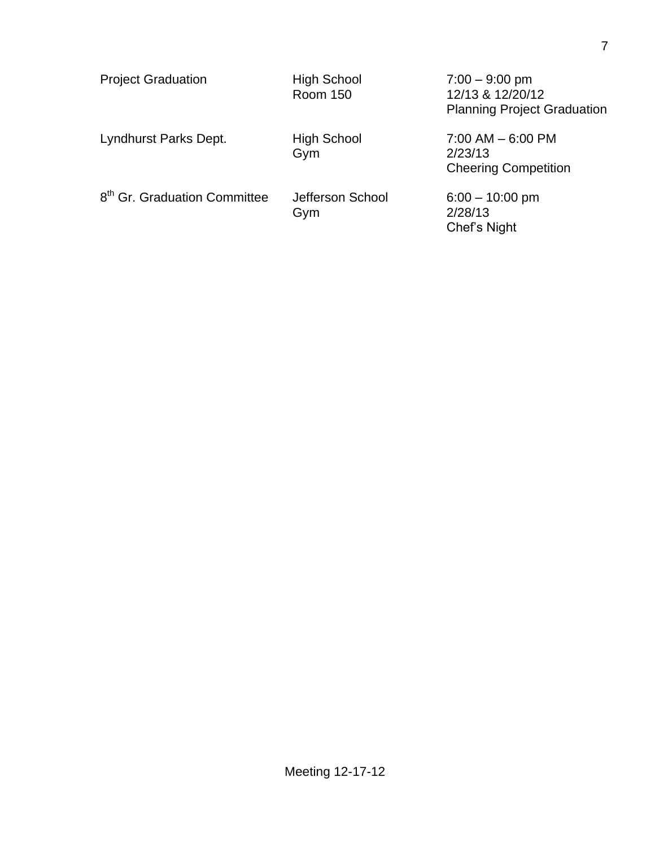| <b>Project Graduation</b>                | <b>High School</b><br><b>Room 150</b> | $7:00 - 9:00$ pm<br>12/13 & 12/20/12<br><b>Planning Project Graduation</b> |
|------------------------------------------|---------------------------------------|----------------------------------------------------------------------------|
| Lyndhurst Parks Dept.                    | <b>High School</b><br>Gym             | $7:00$ AM $-6:00$ PM<br>2/23/13<br><b>Cheering Competition</b>             |
| 8 <sup>th</sup> Gr. Graduation Committee | Jefferson School<br>Gym               | $6:00 - 10:00$ pm<br>2/28/13<br>Chef's Night                               |